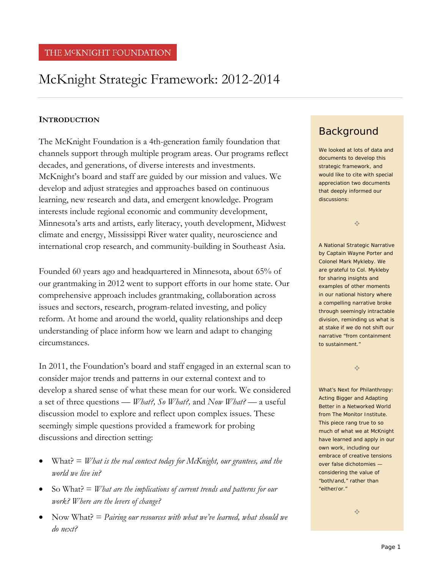# McKnight Strategic Framework: 2012-2014

#### **INTRODUCTION**

The McKnight Foundation is a 4th-generation family foundation that channels support through multiple program areas. Our programs reflect decades, and generations, of diverse interests and investments. McKnight's board and staff are guided by our mission and values. We develop and adjust strategies and approaches based on continuous learning, new research and data, and emergent knowledge. Program interests include regional economic and community development, Minnesota's arts and artists, early literacy, youth development, Midwest climate and energy, Mississippi River water quality, neuroscience and international crop research, and community-building in Southeast Asia.

Founded 60 years ago and headquartered in Minnesota, about 65% of our grantmaking in 2012 went to support efforts in our home state. Our comprehensive approach includes grantmaking, collaboration across issues and sectors, research, program-related investing, and policy reform. At home and around the world, quality relationships and deep understanding of place inform how we learn and adapt to changing circumstances.

In 2011, the Foundation's board and staff engaged in an external scan to consider major trends and patterns in our external context and to develop a shared sense of what these mean for our work. We considered a set of three questions — *What?, So What?,* and *Now What?* — a useful discussion model to explore and reflect upon complex issues. These seemingly simple questions provided a framework for probing discussions and direction setting:

- What? = *What is the real context today for McKnight, our grantees, and the world we live in?*
- So What? = *What are the implications of current trends and patterns for our work? Where are the levers of change?*
- Now What? = *Pairing our resources with what we've learned, what should we do next?*

## **Background**

We looked at lots of data and documents to develop this strategic framework, and would like to cite with special appreciation two documents that deeply informed our discussions:

 $\sigma_{\rm eff}^{\rm R}$ 

*A National Strategic Narrative* by Captain Wayne Porter and Colonel Mark Mykleby. We are grateful to Col. Mykleby for sharing insights and examples of other moments in our national history where a compelling narrative broke through seemingly intractable division, reminding us what is at stake if we do not shift our narrative "from containment to sustainment."

*What's Next for Philanthropy: Acting Bigger and Adapting Better in a Networked World*  from The Monitor Institute. This piece rang true to so much of what we at McKnight have learned and apply in our own work, including our embrace of creative tensions over false dichotomies considering the value of "both/and," rather than "either/or."

 $\frac{1}{2}$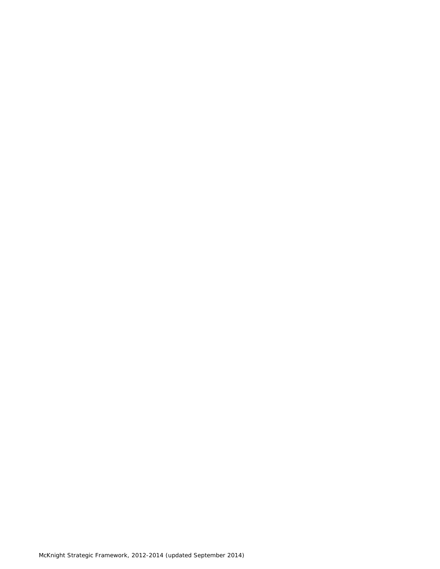*McKnight Strategic Framework, 2012-2014 (updated September 2014)*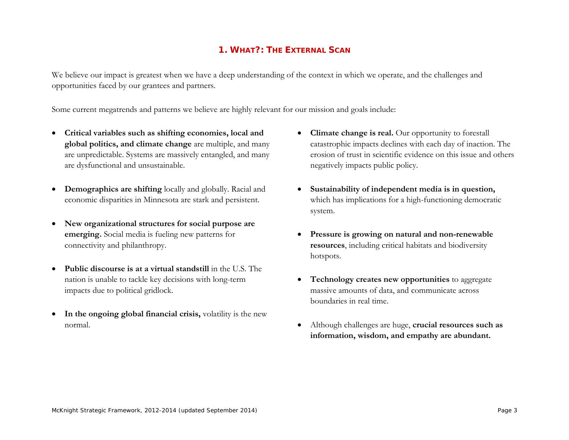### **1.WHAT?:THE EXTERNAL SCAN**

We believe our impact is greatest when we have a deep understanding of the context in which we operate, and the challenges and opportunities faced by our grantees and partners.

Some current megatrends and patterns we believe are highly relevant for our mission and goals include:

- **Critical variables such as shifting economies, local and global politics, and climate change** are multiple, and many are unpredictable. Systems are massively entangled, and many are dysfunctional and unsustainable.
- **Demographics are shifting** locally and globally. Racial and economic disparities in Minnesota are stark and persistent.
- **New organizational structures for social purpose are emerging.** Social media is fueling new patterns for connectivity and philanthropy.
- . **Public discourse is at a virtual standstill** in the U.S. The nation is unable to tackle key decisions with long-term impacts due to political gridlock.
- $\bullet$  **In the ongoing global financial crisis,** volatility is the new normal.
- . **Climate change is real.** Our opportunity to forestall catastrophic impacts declines with each day of inaction. The erosion of trust in scientific evidence on this issue and others negatively impacts public policy.
- **Sustainability of independent media is in question,** which has implications for a high-functioning democratic system.
- **Pressure is growing on natural and non-renewable resources**, including critical habitats and biodiversity hotspots.
- **Technology creates new opportunities** to aggregate massive amounts of data, and communicate across boundaries in real time.
- $\bullet$  Although challenges are huge, **crucial resources such as information, wisdom, and empathy are abundant.**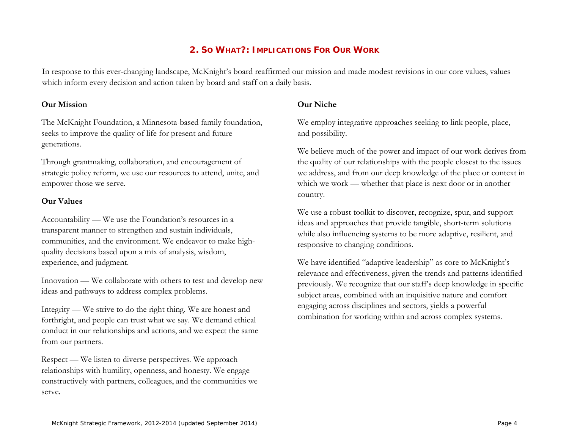#### **2.SO WHAT?: IMPLICATIONS FOR OUR WORK**

In response to this ever-changing landscape, McKnight's board reaffirmed our mission and made modest revisions in our core values, values which inform every decision and action taken by board and staff on a daily basis.

#### **Our Mission**

The McKnight Foundation, a Minnesota-based family foundation, seeks to improve the quality of life for present and future generations.

Through grantmaking, collaboration, and encouragement of strategic policy reform, we use our resources to attend, unite, and empower those we serve.

### **Our Values**

Accountability — We use the Foundation's resources in a transparent manner to strengthen and sustain individuals, communities, and the environment. We endeavor to make highquality decisions based upon a mix of analysis, wisdom, experience, and judgment.

Innovation — We collaborate with others to test and develop new ideas and pathways to address complex problems.

Integrity — We strive to do the right thing. We are honest and forthright, and people can trust what we say. We demand ethical conduct in our relationships and actions, and we expect the same from our partners.

Respect — We listen to diverse perspectives. We approach relationships with humility, openness, and honesty. We engage constructively with partners, colleagues, and the communities we serve.

#### **Our Niche**

We employ integrative approaches seeking to link people, place, and possibility.

We believe much of the power and impact of our work derives from the quality of our relationships with the people closest to the issues we address, and from our deep knowledge of the place or context in which we work — whether that place is next door or in another country.

We use a robust toolkit to discover, recognize, spur, and support ideas and approaches that provide tangible, short-term solutions while also influencing systems to be more adaptive, resilient, and responsive to changing conditions.

We have identified "adaptive leadership" as core to McKnight's relevance and effectiveness, given the trends and patterns identified previously. We recognize that our staff's deep knowledge in specific subject areas, combined with an inquisitive nature and comfort engaging across disciplines and sectors, yields a powerful combination for working within and across complex systems.